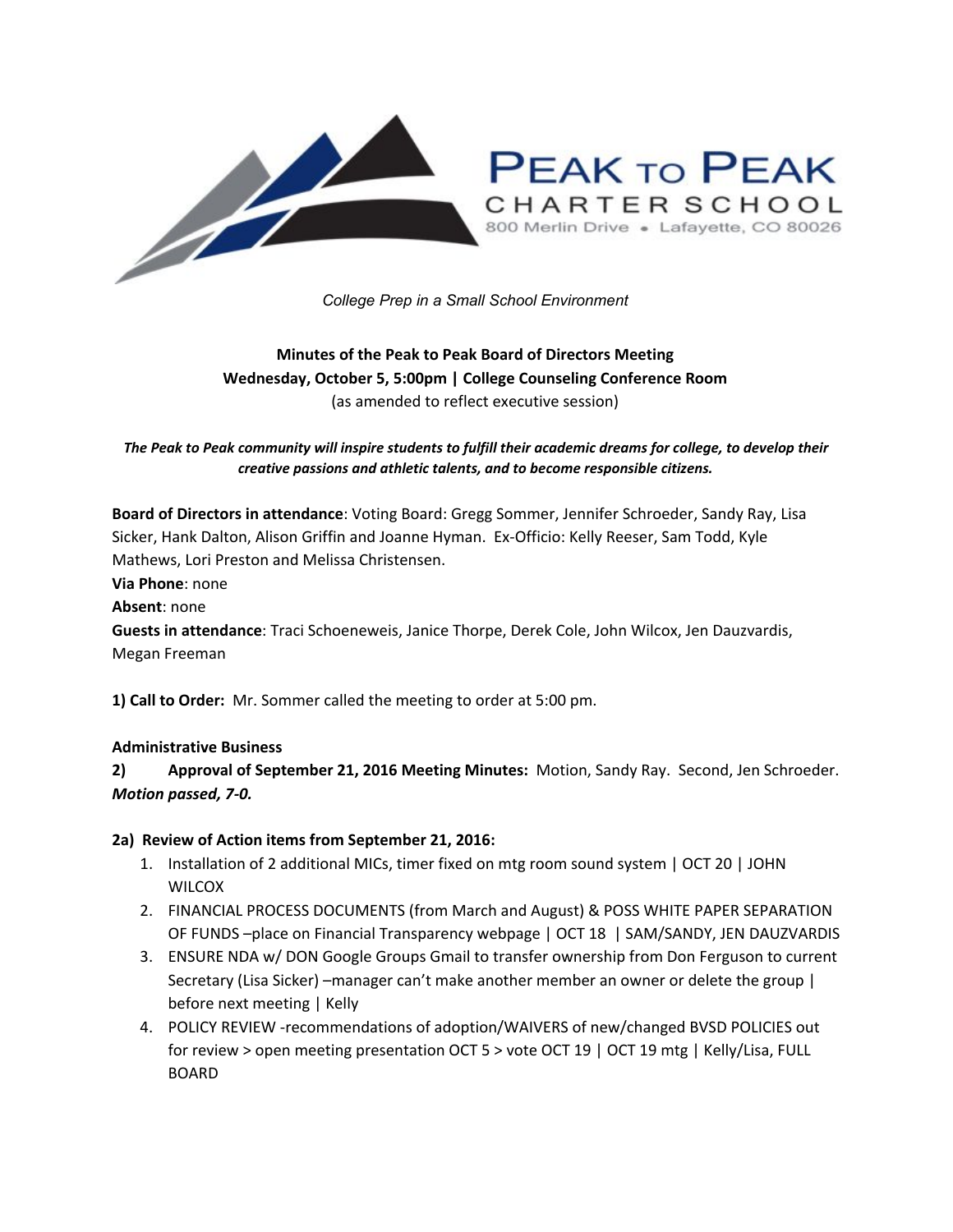

*College Prep in a Small School Environment*

# **Minutes of the Peak to Peak Board of Directors Meeting Wednesday, October 5, 5:00pm | College Counseling Conference Room** (as amended to reflect executive session)

The Peak to Peak community will inspire students to fulfill their academic dreams for college, to develop their *creative passions and athletic talents, and to become responsible citizens.*

**Board of Directors in attendance**: Voting Board: Gregg Sommer, Jennifer Schroeder, Sandy Ray, Lisa Sicker, Hank Dalton, Alison Griffin and Joanne Hyman. Ex-Officio: Kelly Reeser, Sam Todd, Kyle Mathews, Lori Preston and Melissa Christensen.

**Via Phone**: none

**Absent**: none

**Guests in attendance**: Traci Schoeneweis, Janice Thorpe, Derek Cole, John Wilcox, Jen Dauzvardis, Megan Freeman

**1) Call to Order:** Mr. Sommer called the meeting to order at 5:00 pm.

#### **Administrative Business**

**2) Approval of September 21, 2016 Meeting Minutes:** Motion, Sandy Ray. Second, Jen Schroeder. *Motion passed, 7-0.*

#### **2a) Review of Action items from September 21, 2016:**

- 1. Installation of 2 additional MICs, timer fixed on mtg room sound system | OCT 20 | JOHN **WILCOX**
- 2. FINANCIAL PROCESS DOCUMENTS (from March and August) & POSS WHITE PAPER SEPARATION OF FUNDS –place on Financial Transparency webpage | OCT 18 | SAM/SANDY, JEN DAUZVARDIS
- 3. ENSURE NDA w/ DON Google Groups Gmail to transfer ownership from Don Ferguson to current Secretary (Lisa Sicker) –manager can't make another member an owner or delete the group | before next meeting | Kelly
- 4. POLICY REVIEW -recommendations of adoption/WAIVERS of new/changed BVSD POLICIES out for review > open meeting presentation OCT 5 > vote OCT 19 | OCT 19 mtg | Kelly/Lisa, FULL BOARD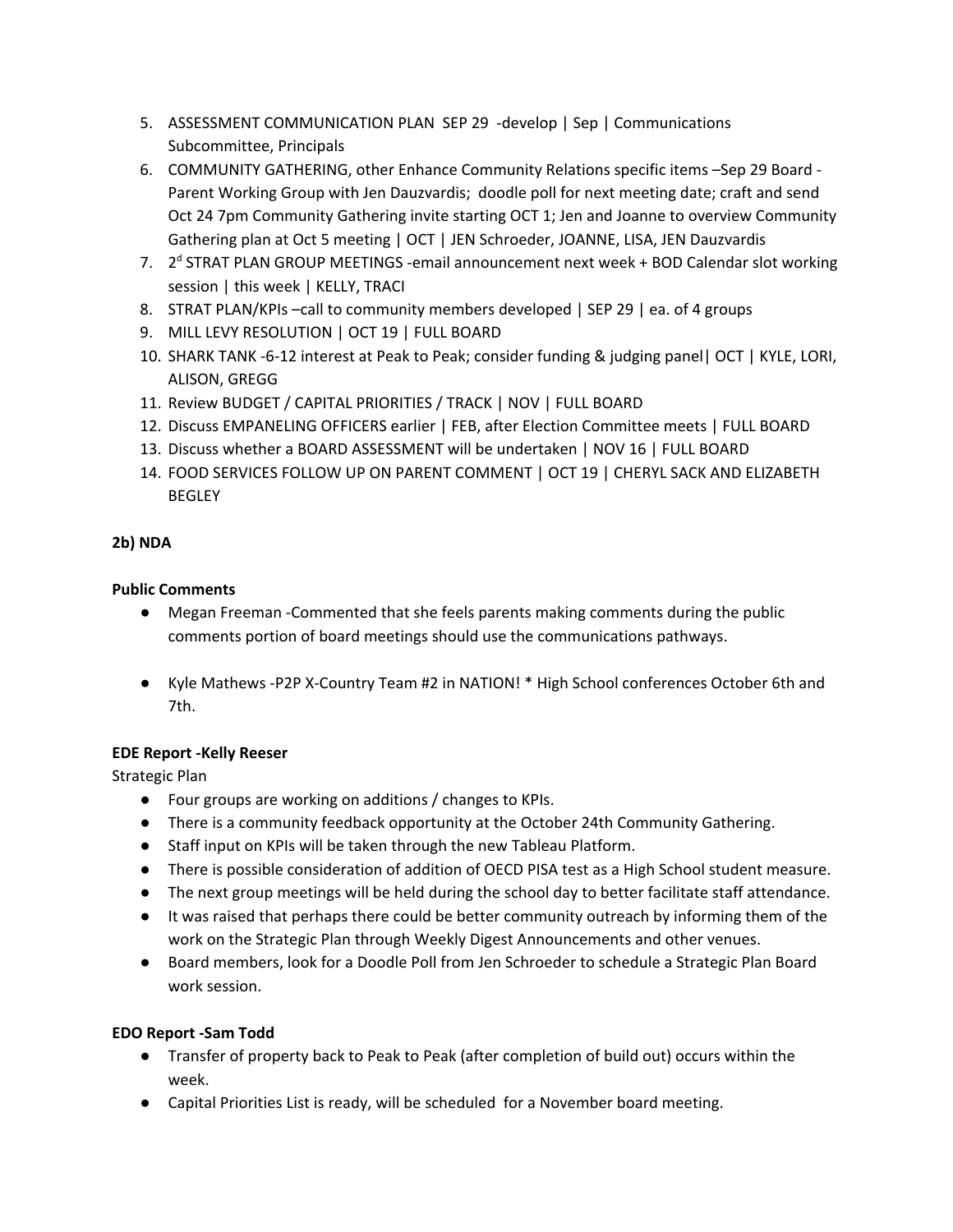- 5. ASSESSMENT COMMUNICATION PLAN SEP 29 -develop | Sep | Communications Subcommittee, Principals
- 6. COMMUNITY GATHERING, other Enhance Community Relations specific items –Sep 29 Board Parent Working Group with Jen Dauzvardis; doodle poll for next meeting date; craft and send Oct 24 7pm Community Gathering invite starting OCT 1; Jen and Joanne to overview Community Gathering plan at Oct 5 meeting | OCT | JEN Schroeder, JOANNE, LISA, JEN Dauzvardis
- 7. 2<sup>d</sup> STRAT PLAN GROUP MEETINGS -email announcement next week + BOD Calendar slot working session | this week | KELLY, TRACI
- 8. STRAT PLAN/KPIs –call to community members developed | SEP 29 | ea. of 4 groups
- 9. MILL LEVY RESOLUTION | OCT 19 | FULL BOARD
- 10. SHARK TANK -6-12 interest at Peak to Peak; consider funding & judging panel| OCT | KYLE, LORI, ALISON, GREGG
- 11. Review BUDGET / CAPITAL PRIORITIES / TRACK | NOV | FULL BOARD
- 12. Discuss EMPANELING OFFICERS earlier | FEB, after Election Committee meets | FULL BOARD
- 13. Discuss whether a BOARD ASSESSMENT will be undertaken | NOV 16 | FULL BOARD
- 14. FOOD SERVICES FOLLOW UP ON PARENT COMMENT | OCT 19 | CHERYL SACK AND ELIZABETH **BEGLEY**

## **2b) NDA**

## **Public Comments**

- Megan Freeman -Commented that she feels parents making comments during the public comments portion of board meetings should use the communications pathways.
- Kyle Mathews -P2P X-Country Team #2 in NATION! \* High School conferences October 6th and 7th.

## **EDE Report -Kelly Reeser**

Strategic Plan

- Four groups are working on additions / changes to KPIs.
- There is a community feedback opportunity at the October 24th Community Gathering.
- Staff input on KPIs will be taken through the new Tableau Platform.
- There is possible consideration of addition of OECD PISA test as a High School student measure.
- The next group meetings will be held during the school day to better facilitate staff attendance.
- It was raised that perhaps there could be better community outreach by informing them of the work on the Strategic Plan through Weekly Digest Announcements and other venues.
- Board members, look for a Doodle Poll from Jen Schroeder to schedule a Strategic Plan Board work session.

# **EDO Report -Sam Todd**

- Transfer of property back to Peak to Peak (after completion of build out) occurs within the week.
- Capital Priorities List is ready, will be scheduled for a November board meeting.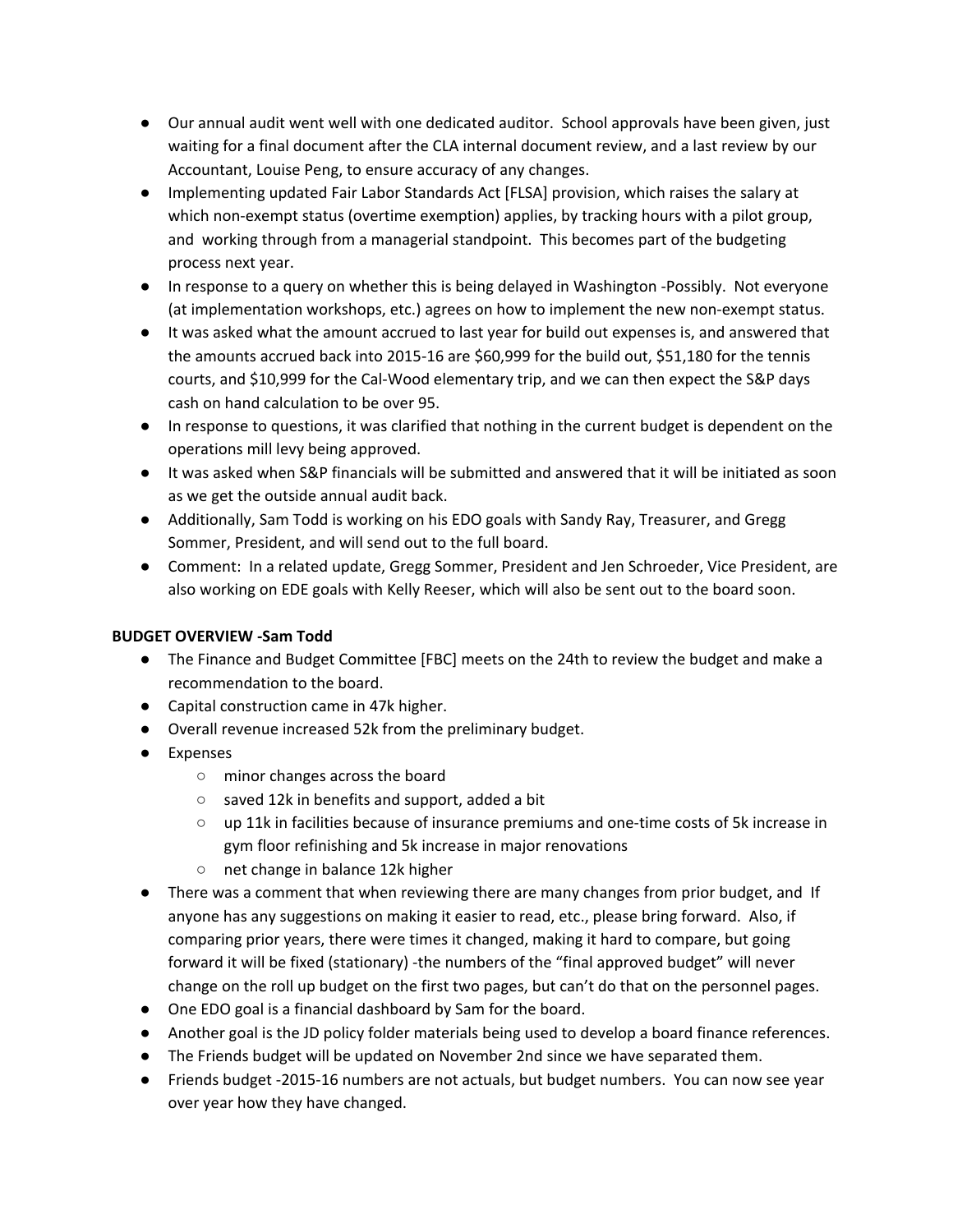- Our annual audit went well with one dedicated auditor. School approvals have been given, just waiting for a final document after the CLA internal document review, and a last review by our Accountant, Louise Peng, to ensure accuracy of any changes.
- Implementing updated Fair Labor Standards Act [FLSA] provision, which raises the salary at which non-exempt status (overtime exemption) applies, by tracking hours with a pilot group, and working through from a managerial standpoint. This becomes part of the budgeting process next year.
- In response to a query on whether this is being delayed in Washington -Possibly. Not everyone (at implementation workshops, etc.) agrees on how to implement the new non-exempt status.
- It was asked what the amount accrued to last year for build out expenses is, and answered that the amounts accrued back into 2015-16 are \$60,999 for the build out, \$51,180 for the tennis courts, and \$10,999 for the Cal-Wood elementary trip, and we can then expect the S&P days cash on hand calculation to be over 95.
- In response to questions, it was clarified that nothing in the current budget is dependent on the operations mill levy being approved.
- It was asked when S&P financials will be submitted and answered that it will be initiated as soon as we get the outside annual audit back.
- Additionally, Sam Todd is working on his EDO goals with Sandy Ray, Treasurer, and Gregg Sommer, President, and will send out to the full board.
- Comment: In a related update, Gregg Sommer, President and Jen Schroeder, Vice President, are also working on EDE goals with Kelly Reeser, which will also be sent out to the board soon.

## **BUDGET OVERVIEW -Sam Todd**

- The Finance and Budget Committee [FBC] meets on the 24th to review the budget and make a recommendation to the board.
- Capital construction came in 47k higher.
- Overall revenue increased 52k from the preliminary budget.
- Expenses
	- minor changes across the board
	- saved 12k in benefits and support, added a bit
	- up 11k in facilities because of insurance premiums and one-time costs of 5k increase in gym floor refinishing and 5k increase in major renovations
	- net change in balance 12k higher
- There was a comment that when reviewing there are many changes from prior budget, and If anyone has any suggestions on making it easier to read, etc., please bring forward. Also, if comparing prior years, there were times it changed, making it hard to compare, but going forward it will be fixed (stationary) -the numbers of the "final approved budget" will never change on the roll up budget on the first two pages, but can't do that on the personnel pages.
- One EDO goal is a financial dashboard by Sam for the board.
- Another goal is the JD policy folder materials being used to develop a board finance references.
- The Friends budget will be updated on November 2nd since we have separated them.
- Friends budget -2015-16 numbers are not actuals, but budget numbers. You can now see year over year how they have changed.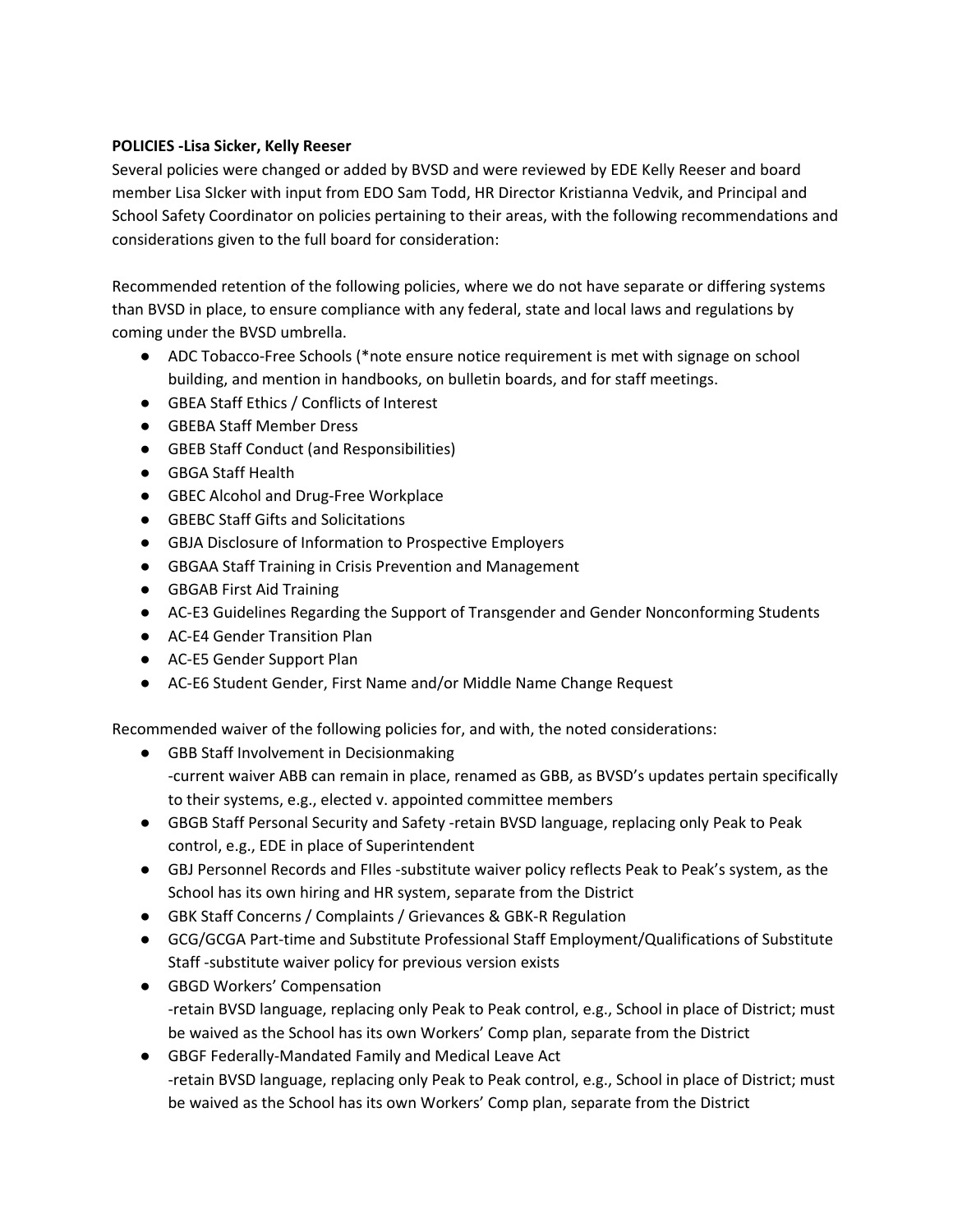### **POLICIES -Lisa Sicker, Kelly Reeser**

Several policies were changed or added by BVSD and were reviewed by EDE Kelly Reeser and board member Lisa SIcker with input from EDO Sam Todd, HR Director Kristianna Vedvik, and Principal and School Safety Coordinator on policies pertaining to their areas, with the following recommendations and considerations given to the full board for consideration:

Recommended retention of the following policies, where we do not have separate or differing systems than BVSD in place, to ensure compliance with any federal, state and local laws and regulations by coming under the BVSD umbrella.

- ADC Tobacco-Free Schools (\*note ensure notice requirement is met with signage on school building, and mention in handbooks, on bulletin boards, and for staff meetings.
- GBEA Staff Ethics / Conflicts of Interest
- GBEBA Staff Member Dress
- GBEB Staff Conduct (and Responsibilities)
- GBGA Staff Health
- GBEC Alcohol and Drug-Free Workplace
- GBEBC Staff Gifts and Solicitations
- GBJA Disclosure of Information to Prospective Employers
- GBGAA Staff Training in Crisis Prevention and Management
- GBGAB First Aid Training
- AC-E3 Guidelines Regarding the Support of Transgender and Gender Nonconforming Students
- AC-E4 Gender Transition Plan
- AC-E5 Gender Support Plan
- AC-E6 Student Gender, First Name and/or Middle Name Change Request

Recommended waiver of the following policies for, and with, the noted considerations:

- GBB Staff Involvement in Decisionmaking -current waiver ABB can remain in place, renamed as GBB, as BVSD's updates pertain specifically to their systems, e.g., elected v. appointed committee members
- GBGB Staff Personal Security and Safety -retain BVSD language, replacing only Peak to Peak control, e.g., EDE in place of Superintendent
- GBJ Personnel Records and FIles -substitute waiver policy reflects Peak to Peak's system, as the School has its own hiring and HR system, separate from the District
- GBK Staff Concerns / Complaints / Grievances & GBK-R Regulation
- GCG/GCGA Part-time and Substitute Professional Staff Employment/Qualifications of Substitute Staff -substitute waiver policy for previous version exists
- GBGD Workers' Compensation -retain BVSD language, replacing only Peak to Peak control, e.g., School in place of District; must be waived as the School has its own Workers' Comp plan, separate from the District
- GBGF Federally-Mandated Family and Medical Leave Act -retain BVSD language, replacing only Peak to Peak control, e.g., School in place of District; must be waived as the School has its own Workers' Comp plan, separate from the District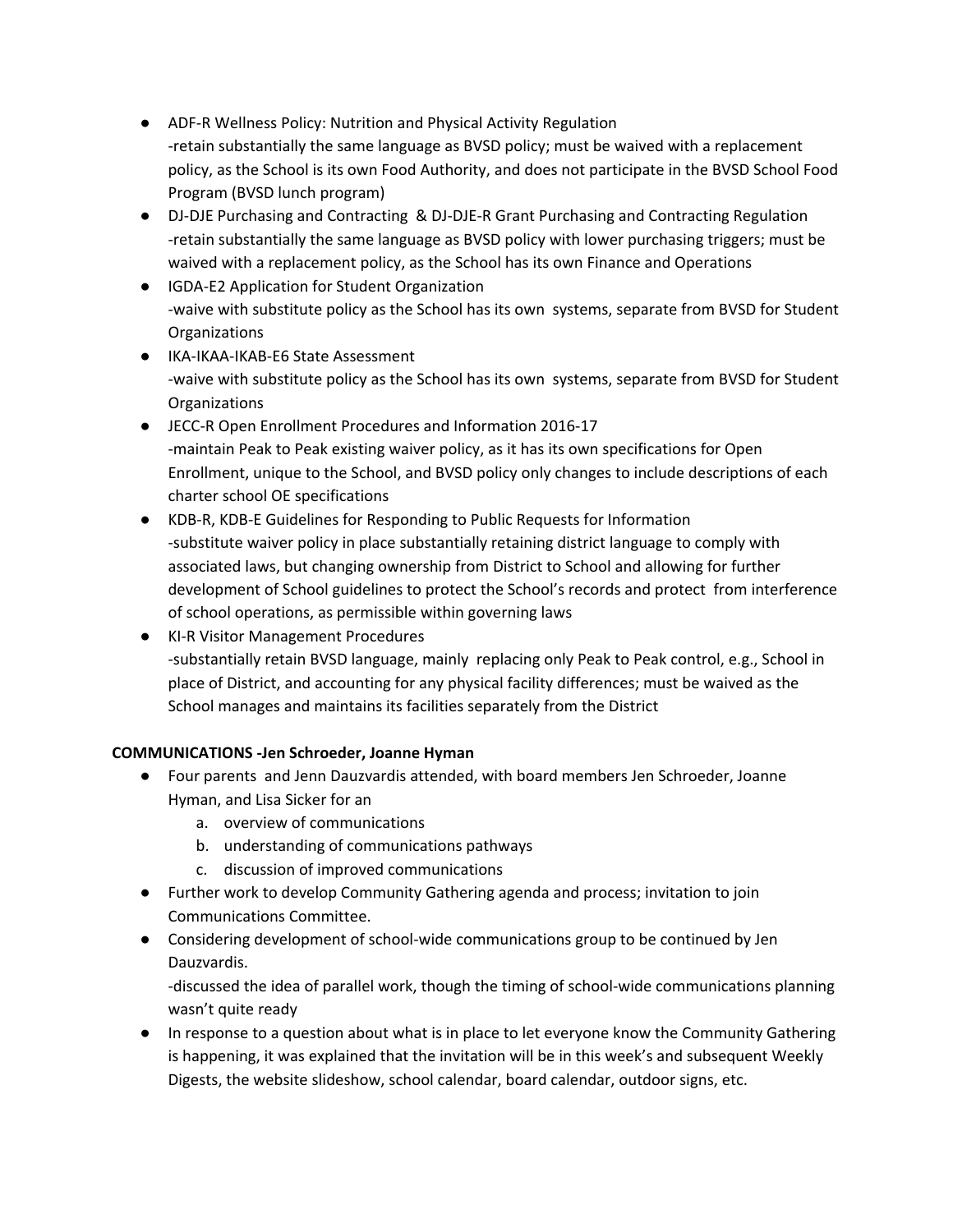- ADF-R Wellness Policy: Nutrition and Physical Activity Regulation -retain substantially the same language as BVSD policy; must be waived with a replacement policy, as the School is its own Food Authority, and does not participate in the BVSD School Food Program (BVSD lunch program)
- DJ-DJE Purchasing and Contracting & DJ-DJE-R Grant Purchasing and Contracting Regulation -retain substantially the same language as BVSD policy with lower purchasing triggers; must be waived with a replacement policy, as the School has its own Finance and Operations
- IGDA-E2 Application for Student Organization -waive with substitute policy as the School has its own systems, separate from BVSD for Student **Organizations**
- IKA-IKAA-IKAB-E6 State Assessment -waive with substitute policy as the School has its own systems, separate from BVSD for Student **Organizations**
- JECC-R Open Enrollment Procedures and Information 2016-17 -maintain Peak to Peak existing waiver policy, as it has its own specifications for Open Enrollment, unique to the School, and BVSD policy only changes to include descriptions of each charter school OE specifications
- KDB-R, KDB-E Guidelines for Responding to Public Requests for Information -substitute waiver policy in place substantially retaining district language to comply with associated laws, but changing ownership from District to School and allowing for further development of School guidelines to protect the School's records and protect from interference of school operations, as permissible within governing laws
- KI-R Visitor Management Procedures -substantially retain BVSD language, mainly replacing only Peak to Peak control, e.g., School in place of District, and accounting for any physical facility differences; must be waived as the School manages and maintains its facilities separately from the District

# **COMMUNICATIONS -Jen Schroeder, Joanne Hyman**

- Four parents and Jenn Dauzvardis attended, with board members Jen Schroeder, Joanne Hyman, and Lisa Sicker for an
	- a. overview of communications
	- b. understanding of communications pathways
	- c. discussion of improved communications
- Further work to develop Community Gathering agenda and process; invitation to join Communications Committee.
- Considering development of school-wide communications group to be continued by Jen Dauzvardis.

-discussed the idea of parallel work, though the timing of school-wide communications planning wasn't quite ready

● In response to a question about what is in place to let everyone know the Community Gathering is happening, it was explained that the invitation will be in this week's and subsequent Weekly Digests, the website slideshow, school calendar, board calendar, outdoor signs, etc.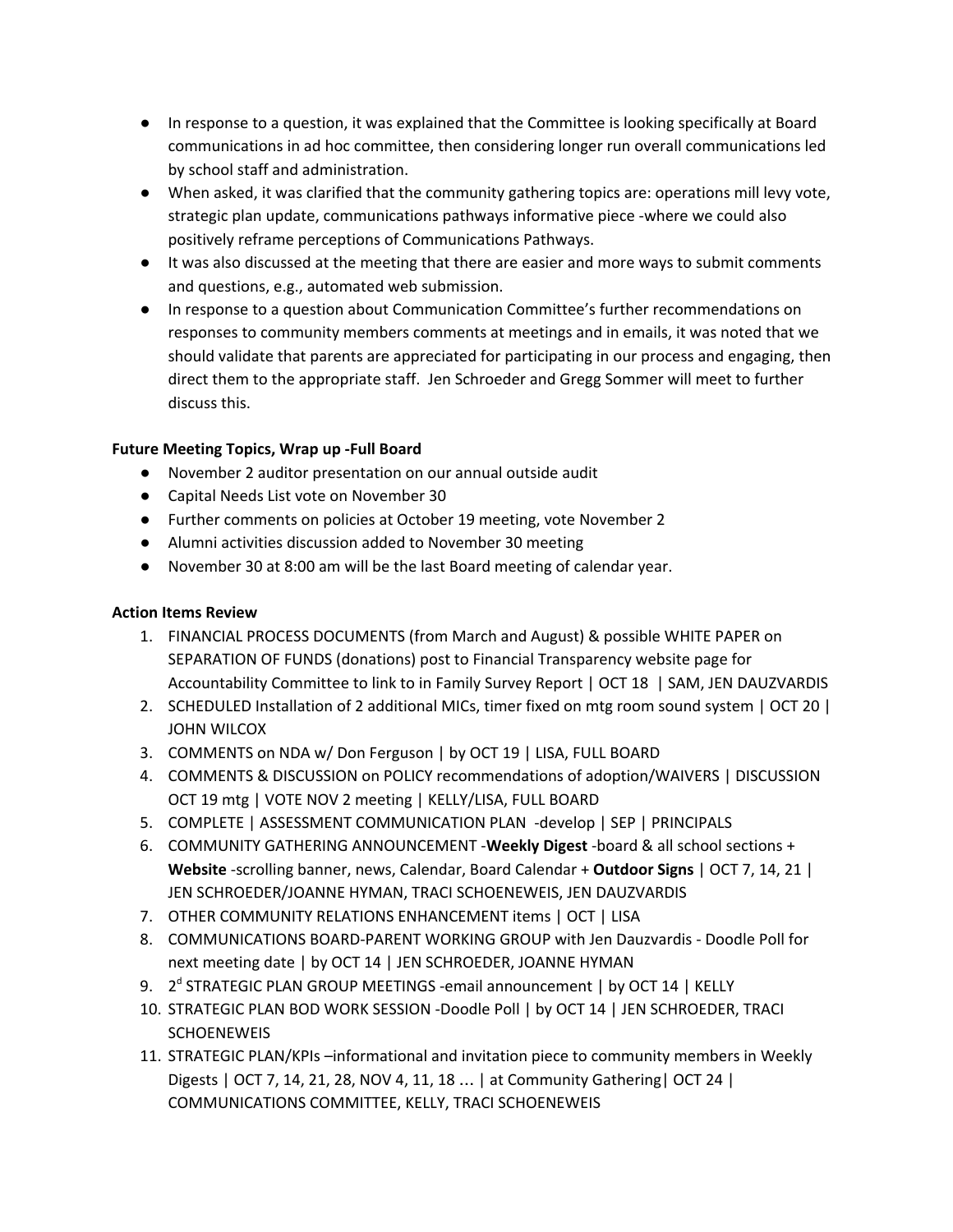- In response to a question, it was explained that the Committee is looking specifically at Board communications in ad hoc committee, then considering longer run overall communications led by school staff and administration.
- When asked, it was clarified that the community gathering topics are: operations mill levy vote, strategic plan update, communications pathways informative piece -where we could also positively reframe perceptions of Communications Pathways.
- It was also discussed at the meeting that there are easier and more ways to submit comments and questions, e.g., automated web submission.
- In response to a question about Communication Committee's further recommendations on responses to community members comments at meetings and in emails, it was noted that we should validate that parents are appreciated for participating in our process and engaging, then direct them to the appropriate staff. Jen Schroeder and Gregg Sommer will meet to further discuss this.

## **Future Meeting Topics, Wrap up -Full Board**

- November 2 auditor presentation on our annual outside audit
- Capital Needs List vote on November 30
- Further comments on policies at October 19 meeting, vote November 2
- Alumni activities discussion added to November 30 meeting
- November 30 at 8:00 am will be the last Board meeting of calendar year.

#### **Action Items Review**

- 1. FINANCIAL PROCESS DOCUMENTS (from March and August) & possible WHITE PAPER on SEPARATION OF FUNDS (donations) post to Financial Transparency website page for Accountability Committee to link to in Family Survey Report | OCT 18 | SAM, JEN DAUZVARDIS
- 2. SCHEDULED Installation of 2 additional MICs, timer fixed on mtg room sound system | OCT 20 | JOHN WILCOX
- 3. COMMENTS on NDA w/ Don Ferguson | by OCT 19 | LISA, FULL BOARD
- 4. COMMENTS & DISCUSSION on POLICY recommendations of adoption/WAIVERS | DISCUSSION OCT 19 mtg | VOTE NOV 2 meeting | KELLY/LISA, FULL BOARD
- 5. COMPLETE | ASSESSMENT COMMUNICATION PLAN -develop | SEP | PRINCIPALS
- 6. COMMUNITY GATHERING ANNOUNCEMENT -**Weekly Digest** -board & all school sections + **Website** -scrolling banner, news, Calendar, Board Calendar + **Outdoor Signs** | OCT 7, 14, 21 | JEN SCHROEDER/JOANNE HYMAN, TRACI SCHOENEWEIS, JEN DAUZVARDIS
- 7. OTHER COMMUNITY RELATIONS ENHANCEMENT items | OCT | LISA
- 8. COMMUNICATIONS BOARD-PARENT WORKING GROUP with Jen Dauzvardis Doodle Poll for next meeting date | by OCT 14 | JEN SCHROEDER, JOANNE HYMAN
- 9. 2<sup>d</sup> STRATEGIC PLAN GROUP MEETINGS -email announcement | by OCT 14 | KELLY
- 10. STRATEGIC PLAN BOD WORK SESSION -Doodle Poll | by OCT 14 | JEN SCHROEDER, TRACI **SCHOENEWEIS**
- 11. STRATEGIC PLAN/KPIs –informational and invitation piece to community members in Weekly Digests | OCT 7, 14, 21, 28, NOV 4, 11, 18 … | at Community Gathering| OCT 24 | COMMUNICATIONS COMMITTEE, KELLY, TRACI SCHOENEWEIS